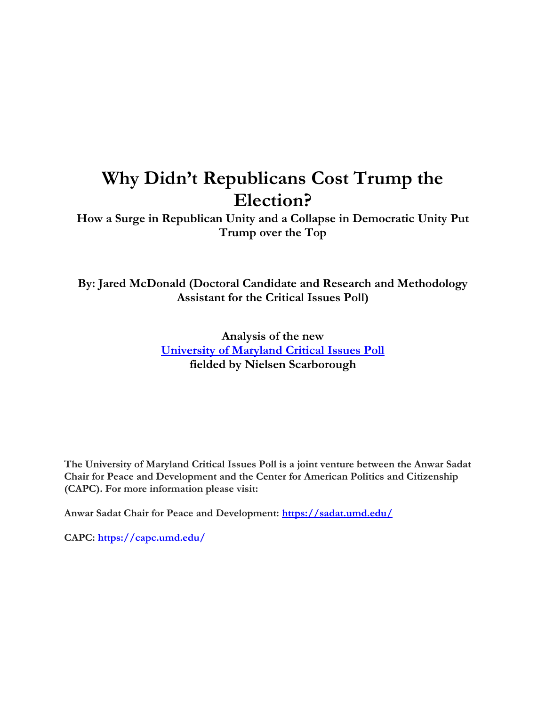# **Why Didn't Republicans Cost Trump the Election?**

**How a Surge in Republican Unity and a Collapse in Democratic Unity Put Trump over the Top**

**By: Jared McDonald (Doctoral Candidate and Research and Methodology Assistant for the Critical Issues Poll)**

> **Analysis of the new [University of Maryland Critical Issues Poll](https://criticalissues.umd.edu/) fielded by Nielsen Scarborough**

**The University of Maryland Critical Issues Poll is a joint venture between the Anwar Sadat Chair for Peace and Development and the Center for American Politics and Citizenship (CAPC). For more information please visit:**

**Anwar Sadat Chair for Peace and Development:<https://sadat.umd.edu/>**

**CAPC:<https://capc.umd.edu/>**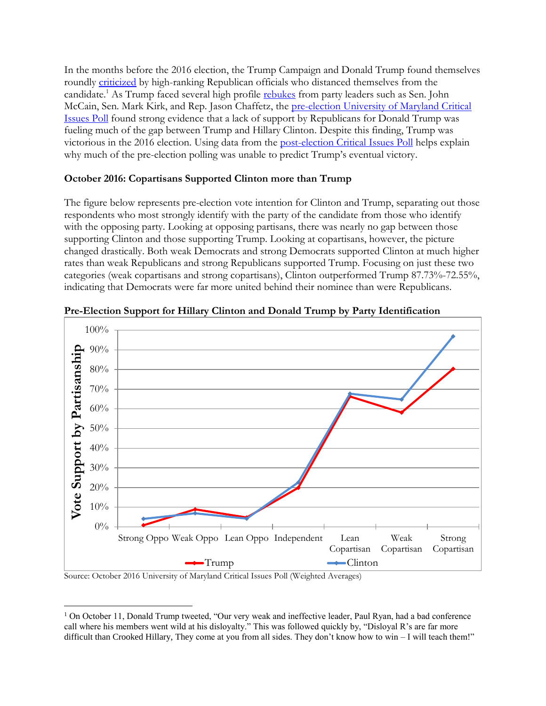In the months before the 2016 election, the Trump Campaign and Donald Trump found themselves roundly [criticized](http://www.nytimes.com/2016/10/12/us/politics/donald-trump-paul-ryan.html) by high-ranking Republican officials who distanced themselves from the candidate.<sup>1</sup> As Trump faced several high profile [rebukes](http://www.wsj.com/articles/some-republicans-withdraw-trump-support-as-partys-leaders-condemn-comments-1475899482) from party leaders such as Sen. John McCain, Sen. Mark Kirk, and Rep. Jason Chaffetz, the [pre-election University of Maryland Critical](https://criticalissues.umd.edu/sites/criticalissues.umd.edu/files/questionnaire_november_2016_poll_release.pdf)  [Issues Poll](https://criticalissues.umd.edu/sites/criticalissues.umd.edu/files/questionnaire_november_2016_poll_release.pdf) found strong evidence that a lack of support by Republicans for Donald Trump was fueling much of the gap between Trump and Hillary Clinton. Despite this finding, Trump was victorious in the 2016 election. Using data from the [post-election Critical Issues Poll](https://criticalissues.umd.edu/sites/criticalissues.umd.edu/files/critical_issues_poll_study_series_number_1.pdf) helps explain why much of the pre-election polling was unable to predict Trump's eventual victory.

## **October 2016: Copartisans Supported Clinton more than Trump**

The figure below represents pre-election vote intention for Clinton and Trump, separating out those respondents who most strongly identify with the party of the candidate from those who identify with the opposing party. Looking at opposing partisans, there was nearly no gap between those supporting Clinton and those supporting Trump. Looking at copartisans, however, the picture changed drastically. Both weak Democrats and strong Democrats supported Clinton at much higher rates than weak Republicans and strong Republicans supported Trump. Focusing on just these two categories (weak copartisans and strong copartisans), Clinton outperformed Trump 87.73%-72.55%, indicating that Democrats were far more united behind their nominee than were Republicans.



**Pre-Election Support for Hillary Clinton and Donald Trump by Party Identification**

Source: October 2016 University of Maryland Critical Issues Poll (Weighted Averages)

 $\overline{a}$ 

<sup>&</sup>lt;sup>1</sup> On October 11, Donald Trump tweeted, "Our very weak and ineffective leader, Paul Ryan, had a bad conference call where his members went wild at his disloyalty." This was followed quickly by, "Disloyal R's are far more difficult than Crooked Hillary, They come at you from all sides. They don't know how to win – I will teach them!"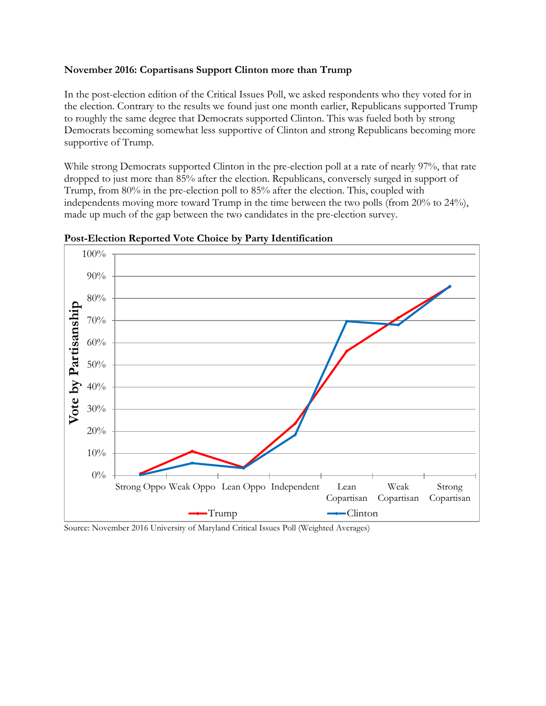#### **November 2016: Copartisans Support Clinton more than Trump**

In the post-election edition of the Critical Issues Poll, we asked respondents who they voted for in the election. Contrary to the results we found just one month earlier, Republicans supported Trump to roughly the same degree that Democrats supported Clinton. This was fueled both by strong Democrats becoming somewhat less supportive of Clinton and strong Republicans becoming more supportive of Trump.

While strong Democrats supported Clinton in the pre-election poll at a rate of nearly 97%, that rate dropped to just more than 85% after the election. Republicans, conversely surged in support of Trump, from 80% in the pre-election poll to 85% after the election. This, coupled with independents moving more toward Trump in the time between the two polls (from 20% to 24%), made up much of the gap between the two candidates in the pre-election survey.



**Post-Election Reported Vote Choice by Party Identification**

Source: November 2016 University of Maryland Critical Issues Poll (Weighted Averages)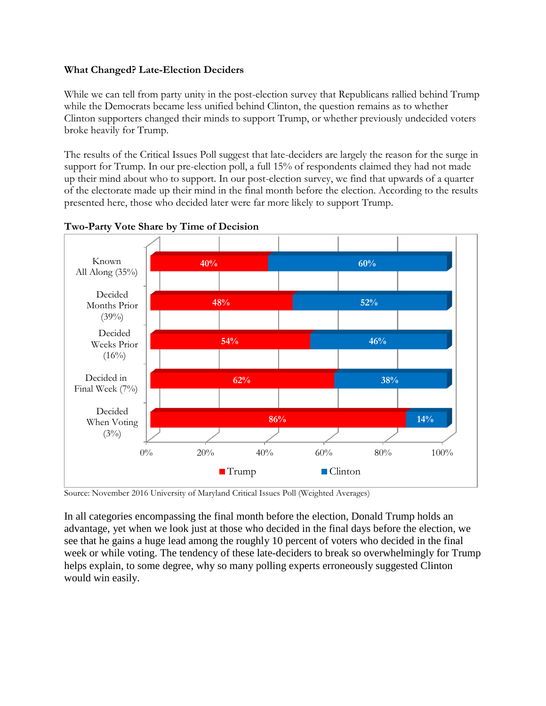## **What Changed? Late-Election Deciders**

While we can tell from party unity in the post-election survey that Republicans rallied behind Trump while the Democrats became less unified behind Clinton, the question remains as to whether Clinton supporters changed their minds to support Trump, or whether previously undecided voters broke heavily for Trump.

The results of the Critical Issues Poll suggest that late-deciders are largely the reason for the surge in support for Trump. In our pre-election poll, a full 15% of respondents claimed they had not made up their mind about who to support. In our post-election survey, we find that upwards of a quarter of the electorate made up their mind in the final month before the election. According to the results presented here, those who decided later were far more likely to support Trump.



**Two-Party Vote Share by Time of Decision**

Source: November 2016 University of Maryland Critical Issues Poll (Weighted Averages)

In all categories encompassing the final month before the election, Donald Trump holds an advantage, yet when we look just at those who decided in the final days before the election, we see that he gains a huge lead among the roughly 10 percent of voters who decided in the final week or while voting. The tendency of these late-deciders to break so overwhelmingly for Trump helps explain, to some degree, why so many polling experts erroneously suggested Clinton would win easily.